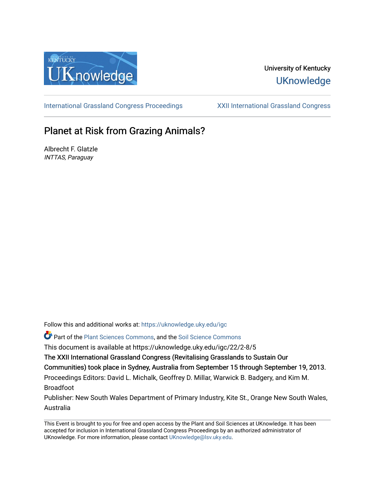

## University of Kentucky **UKnowledge**

[International Grassland Congress Proceedings](https://uknowledge.uky.edu/igc) [XXII International Grassland Congress](https://uknowledge.uky.edu/igc/22) 

# Planet at Risk from Grazing Animals?

Albrecht F. Glatzle INTTAS, Paraguay

Follow this and additional works at: [https://uknowledge.uky.edu/igc](https://uknowledge.uky.edu/igc?utm_source=uknowledge.uky.edu%2Figc%2F22%2F2-8%2F5&utm_medium=PDF&utm_campaign=PDFCoverPages) 

Part of the [Plant Sciences Commons](http://network.bepress.com/hgg/discipline/102?utm_source=uknowledge.uky.edu%2Figc%2F22%2F2-8%2F5&utm_medium=PDF&utm_campaign=PDFCoverPages), and the [Soil Science Commons](http://network.bepress.com/hgg/discipline/163?utm_source=uknowledge.uky.edu%2Figc%2F22%2F2-8%2F5&utm_medium=PDF&utm_campaign=PDFCoverPages) 

This document is available at https://uknowledge.uky.edu/igc/22/2-8/5

The XXII International Grassland Congress (Revitalising Grasslands to Sustain Our

Communities) took place in Sydney, Australia from September 15 through September 19, 2013.

Proceedings Editors: David L. Michalk, Geoffrey D. Millar, Warwick B. Badgery, and Kim M. Broadfoot

Publisher: New South Wales Department of Primary Industry, Kite St., Orange New South Wales, Australia

This Event is brought to you for free and open access by the Plant and Soil Sciences at UKnowledge. It has been accepted for inclusion in International Grassland Congress Proceedings by an authorized administrator of UKnowledge. For more information, please contact [UKnowledge@lsv.uky.edu](mailto:UKnowledge@lsv.uky.edu).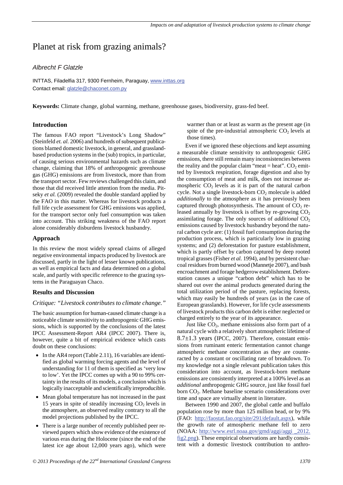## Planet at risk from grazing animals?

### *Albrecht F Glatzle*

INTTAS, Filadelfia 317, 9300 Fernheim, Paraguay, www.inttas.org Contact email: **glatzle@chaconet.com.py** 

**Keywords:** Climate change, global warming, methane, greenhouse gases, biodiversity, grass-fed beef.

#### **Introduction**

The famous FAO report "Livestock's Long Shadow" (Steinfeld *et. al.* 2006) and hundreds of subsequent publications blamed domestic livestock, in general, and grasslandbased production systems in the (sub) tropics, in particular, of causing serious environmental hazards such as climate change, claiming that 18% of anthropogenic greenhouse gas (GHG) emissions are from livestock, more than from the transport sector. Few reviews challenged this claim, and those that did received little attention from the media. Pitseky *et al.* (2009) revealed the double standard applied by the FAO in this matter. Whereas for livestock products a full life cycle assessment for GHG emissions was applied, for the transport sector only fuel consumption was taken into account. This striking weakness of the FAO report alone considerably disburdens livestock husbandry.

#### **Approach**

In this review the most widely spread claims of alleged negative environmental impacts produced by livestock are discussed, partly in the light of lesser known publications, as well as empirical facts and data determined on a global scale, and partly with specific reference to the grazing systems in the Paraguayan Chaco.

#### **Results and Discussion**

#### *Critique: "Livestock contributes to climate change."*

The basic assumption for human-caused climate change is a noticeable climate sensitivity to anthropogenic GHG emissions, which is supported by the conclusions of the latest IPCC Assessment-Report AR4 (IPCC 2007). There is, however, quite a bit of empirical evidence which casts doubt on these conclusions:

- In the AR4 report (Table 2.11), 16 variables are identified as global warming forcing agents and the level of understanding for 11 of them is specified as 'very low to low'. Yet the IPCC comes up with a 90 to 99% certainty in the results of its models, a conclusion which is logically inacceptable and scientifically irreproducible.
- Mean global temperature has not increased in the past 15 years in spite of steadily increasing  $CO<sub>2</sub>$  levels in the atmosphere, an observed reality contrary to all the model projections published by the IPCC.
- There is a large number of recently published peer reviewed papers which show evidence of the existence of various eras during the Holocene (since the end of the latest ice age about 12,000 years ago), which were

warmer than or at least as warm as the present age (in spite of the pre-industrial atmospheric  $CO<sub>2</sub>$  levels at those times).

Even if we ignored these objections and kept assuming a measurable climate sensitivity to anthropogenic GHG emissions, there still remain many inconsistencies between the reality and the popular claim "meat = heat".  $CO<sub>2</sub>$  emitted by livestock respiration, forage digestion and also by the consumption of meat and milk, does not increase atmospheric  $CO<sub>2</sub>$  levels as it is part of the natural carbon cycle. Not a single livestock-born  $CO<sub>2</sub>$  molecule is added *additionally* to the atmosphere as it has previously been captured through photosynthesis. The amount of  $CO<sub>2</sub>$  released annually by livestock is offset by re-growing  $CO<sub>2</sub>$ assimilating forage. The only sources of *additional* CO<sub>2</sub> emissions caused by livestock husbandry beyond the natural carbon cycle are: (1) fossil fuel consumption during the production process, which is particularly low in grazing systems; and (2) deforestation for pasture establishment, which is partly offset by carbon captured by deep rooted tropical grasses (Fisher *et al.* 1994), and by persistent charcoal residues from burned wood (Mannetje 2007), and bush encroachment and forage hedgerow establishment. Deforestation causes a unique "carbon debt" which has to be shared out over the animal products generated during the total utilization period of the pasture, replacing forests, which may easily be hundreds of years (as in the case of European grasslands). However, for life cycle assessments of livestock products this carbon debt is either neglected or charged entirely to the year of its appearance.

Just like  $CO<sub>2</sub>$ , methane emissions also form part of a natural cycle with a relatively short atmospheric lifetime of 8.7±1.3 years (IPCC, 2007). Therefore, constant emissions from ruminant enteric fermentation cannot change atmospheric methane concentration as they are counteracted by a constant or oscillating rate of breakdown. To my knowledge not a single relevant publication takes this consideration into account, as livestock-born methane emissions are consistently interpreted at a 100% level as an *additional* anthropogenic GHG source, just like fossil fuel born CO<sub>2</sub>. Methane baseline scenario considerations over time and space are virtually absent in literature.

Between 1990 and 2007, the global cattle and buffalo population rose by more than 125 million head, or by 9% (FAO: http://faostat.fao.org/site/291/default.aspx), while the growth rate of atmospheric methane fell to zero (NOAA: http://www.esrl.noaa.gov/gmd/aggi/aggi \_2012. fig2.png). These empirical observations are hardly consistent with a domestic livestock contribution to anthro-